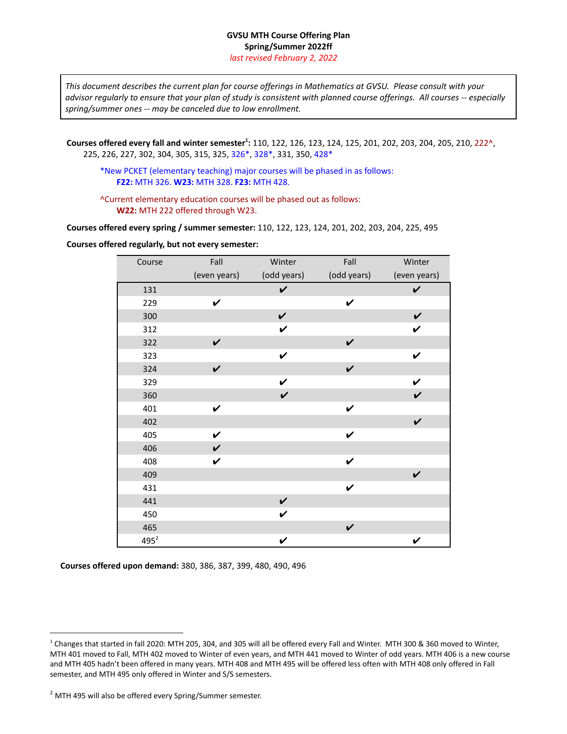## **GVSU MTH Course Offering Plan Spring/Summer 2022ff** *last revised February 2, 2022*

This document describes the current plan for course offerings in Mathematics at GVSU. Please consult with your advisor regularly to ensure that your plan of study is consistent with planned course offerings. All courses -- especially *spring/summer ones -- may be canceled due to low enrollment.*

**Courses offered every fall and winter semester 1 :** 110, 122, 126, 123, 124, 125, 201, 202, 203, 204, 205, 210, 222^, 225, 226, 227, 302, 304, 305, 315, 325, 326\*, 328\*, 331, 350, 428\*

\*New PCKET (elementary teaching) major courses will be phased in as follows: **F22:** MTH 326. **W23:** MTH 328. **F23:** MTH 428.

^Current elementary education courses will be phased out as follows: **W22:** MTH 222 offered through W23.

**Courses offered every spring / summer semester:** 110, 122, 123, 124, 201, 202, 203, 204, 225, 495

**Courses offered regularly, but not every semester:**

| Course  | Fall               | Winter       | Fall         | Winter       |
|---------|--------------------|--------------|--------------|--------------|
|         | (even years)       | (odd years)  | (odd years)  | (even years) |
| 131     |                    | $\checkmark$ |              | $\checkmark$ |
| 229     | $\boldsymbol{\nu}$ |              | $\checkmark$ |              |
| 300     |                    | $\checkmark$ |              | $\checkmark$ |
| 312     |                    | $\checkmark$ |              | $\checkmark$ |
| 322     | $\checkmark$       |              | $\checkmark$ |              |
| 323     |                    | $\checkmark$ |              | $\checkmark$ |
| 324     | $\checkmark$       |              | $\checkmark$ |              |
| 329     |                    | $\checkmark$ |              | $\checkmark$ |
| 360     |                    | $\checkmark$ |              | $\checkmark$ |
| 401     | $\checkmark$       |              | $\checkmark$ |              |
| 402     |                    |              |              | $\checkmark$ |
| 405     | $\checkmark$       |              | $\checkmark$ |              |
| 406     | $\checkmark$       |              |              |              |
| 408     | $\checkmark$       |              | $\checkmark$ |              |
| 409     |                    |              |              | $\checkmark$ |
| 431     |                    |              | $\checkmark$ |              |
| 441     |                    | $\checkmark$ |              |              |
| 450     |                    | $\checkmark$ |              |              |
| 465     |                    |              | $\checkmark$ |              |
| $495^2$ |                    | V            |              | $\checkmark$ |

**Courses offered upon demand:** 380, 386, 387, 399, 480, 490, 496

<sup>&</sup>lt;sup>1</sup> Changes that started in fall 2020: MTH 205, 304, and 305 will all be offered every Fall and Winter. MTH 300 & 360 moved to Winter, MTH 401 moved to Fall, MTH 402 moved to Winter of even years, and MTH 441 moved to Winter of odd years. MTH 406 is a new course and MTH 405 hadn't been offered in many years. MTH 408 and MTH 495 will be offered less often with MTH 408 only offered in Fall semester, and MTH 495 only offered in Winter and S/S semesters.

<sup>2</sup> MTH 495 will also be offered every Spring/Summer semester.